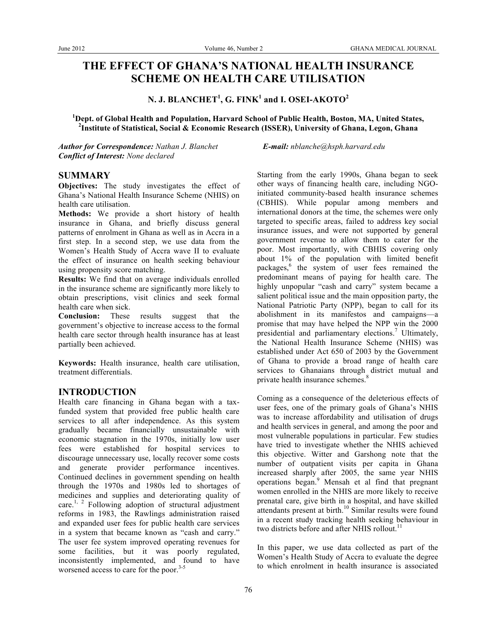# **THE EFFECT OF GHANA'S NATIONAL HEALTH INSURANCE SCHEME ON HEALTH CARE UTILISATION**

**N. J. BLANCHET<sup>1</sup> , G. FINK<sup>1</sup> and I. OSEI-AKOTO<sup>2</sup>**

**1 Dept. of Global Health and Population, Harvard School of Public Health, Boston, MA, United States, 2 Institute of Statistical, Social & Economic Research (ISSER), University of Ghana, Legon, Ghana**

*Author for Correspondence: Nathan J. Blanchet E-mail: nblanche@hsph.harvard.edu Conflict of Interest: None declared*

## **SUMMARY**

**Objectives:** The study investigates the effect of Ghana's National Health Insurance Scheme (NHIS) on health care utilisation.

**Methods:** We provide a short history of health insurance in Ghana, and briefly discuss general patterns of enrolment in Ghana as well as in Accra in a first step. In a second step, we use data from the Women's Health Study of Accra wave II to evaluate the effect of insurance on health seeking behaviour using propensity score matching.

**Results:** We find that on average individuals enrolled in the insurance scheme are significantly more likely to obtain prescriptions, visit clinics and seek formal health care when sick.

**Conclusion:** These results suggest that the government's objective to increase access to the formal health care sector through health insurance has at least partially been achieved.

**Keywords:** Health insurance, health care utilisation, treatment differentials.

## **INTRODUCTION**

Health care financing in Ghana began with a taxfunded system that provided free public health care services to all after independence. As this system gradually became financially unsustainable with economic stagnation in the 1970s, initially low user fees were established for hospital services to discourage unnecessary use, locally recover some costs and generate provider performance incentives. Continued declines in government spending on health through the 1970s and 1980s led to shortages of medicines and supplies and deteriorating quality of care.<sup>1, 2</sup> Following adoption of structural adjustment reforms in 1983, the Rawlings administration raised and expanded user fees for public health care services in a system that became known as "cash and carry." The user fee system improved operating revenues for some facilities, but it was poorly regulated, inconsistently implemented, and found to have worsened access to care for the poor.<sup>3-5</sup>

Starting from the early 1990s, Ghana began to seek other ways of financing health care, including NGOinitiated community-based health insurance schemes (CBHIS). While popular among members and international donors at the time, the schemes were only targeted to specific areas, failed to address key social insurance issues, and were not supported by general government revenue to allow them to cater for the poor. Most importantly, with CBHIS covering only about 1% of the population with limited benefit packages, <sup>6</sup> the system of user fees remained the predominant means of paying for health care. The highly unpopular "cash and carry" system became a salient political issue and the main opposition party, the National Patriotic Party (NPP), began to call for its abolishment in its manifestos and campaigns—a promise that may have helped the NPP win the 2000 presidential and parliamentary elections.<sup>7</sup> Ultimately, the National Health Insurance Scheme (NHIS) was established under Act 650 of 2003 by the Government of Ghana to provide a broad range of health care services to Ghanaians through district mutual and private health insurance schemes. 8

Coming as a consequence of the deleterious effects of user fees, one of the primary goals of Ghana's NHIS was to increase affordability and utilisation of drugs and health services in general, and among the poor and most vulnerable populations in particular. Few studies have tried to investigate whether the NHIS achieved this objective. Witter and Garshong note that the number of outpatient visits per capita in Ghana increased sharply after 2005, the same year NHIS operations began.<sup>9</sup> Mensah et al find that pregnant women enrolled in the NHIS are more likely to receive prenatal care, give birth in a hospital, and have skilled attendants present at birth.<sup>10</sup> Similar results were found in a recent study tracking health seeking behaviour in two districts before and after NHIS rollout.<sup>11</sup>

In this paper, we use data collected as part of the Women's Health Study of Accra to evaluate the degree to which enrolment in health insurance is associated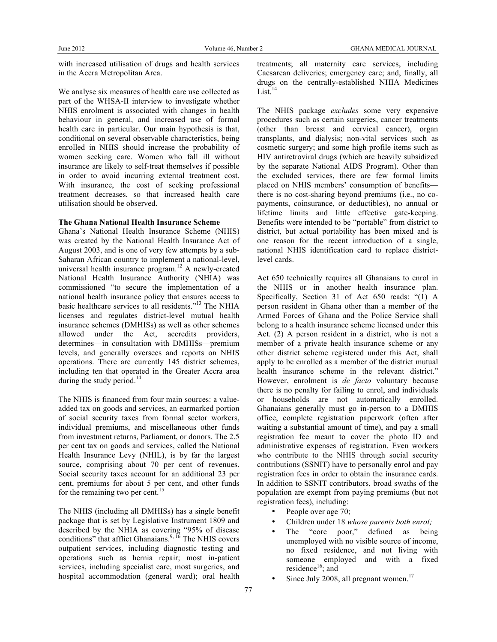with increased utilisation of drugs and health services in the Accra Metropolitan Area.

We analyse six measures of health care use collected as part of the WHSA-II interview to investigate whether NHIS enrolment is associated with changes in health behaviour in general, and increased use of formal health care in particular. Our main hypothesis is that, conditional on several observable characteristics, being enrolled in NHIS should increase the probability of women seeking care. Women who fall ill without insurance are likely to self-treat themselves if possible in order to avoid incurring external treatment cost. With insurance, the cost of seeking professional treatment decreases, so that increased health care utilisation should be observed.

#### **The Ghana National Health Insurance Scheme**

Ghana's National Health Insurance Scheme (NHIS) was created by the National Health Insurance Act of August 2003, and is one of very few attempts by a sub-Saharan African country to implement a national-level, universal health insurance program. <sup>12</sup> A newly-created National Health Insurance Authority (NHIA) was commissioned "to secure the implementation of a national health insurance policy that ensures access to basic healthcare services to all residents." <sup>13</sup> The NHIA licenses and regulates district-level mutual health insurance schemes (DMHISs) as well as other schemes allowed under the Act, accredits providers, determines—in consultation with DMHISs—premium levels, and generally oversees and reports on NHIS operations. There are currently 145 district schemes, including ten that operated in the Greater Accra area during the study period.<sup>14</sup>

The NHIS is financed from four main sources: a valueadded tax on goods and services, an earmarked portion of social security taxes from formal sector workers, individual premiums, and miscellaneous other funds from investment returns, Parliament, or donors. The 2.5 per cent tax on goods and services, called the National Health Insurance Levy (NHIL), is by far the largest source, comprising about 70 per cent of revenues. Social security taxes account for an additional 23 per cent, premiums for about 5 per cent, and other funds for the remaining two per cent.<sup>15</sup>

The NHIS (including all DMHISs) has a single benefit package that is set by Legislative Instrument 1809 and described by the NHIA as covering "95% of disease conditions" that afflict Ghanaians.<sup>9, 16</sup> The NHIS covers outpatient services, including diagnostic testing and operations such as hernia repair; most in-patient services, including specialist care, most surgeries, and hospital accommodation (general ward); oral health

treatments; all maternity care services, including Caesarean deliveries; emergency care; and, finally, all drugs on the centrally-established NHIA Medicines  $List.<sup>14</sup>$ 

The NHIS package *excludes* some very expensive procedures such as certain surgeries, cancer treatments (other than breast and cervical cancer), organ transplants, and dialysis; non-vital services such as cosmetic surgery; and some high profile items such as HIV antiretroviral drugs (which are heavily subsidized by the separate National AIDS Program). Other than the excluded services, there are few formal limits placed on NHIS members' consumption of benefits there is no cost-sharing beyond premiums (i.e., no copayments, coinsurance, or deductibles), no annual or lifetime limits and little effective gate-keeping. Benefits were intended to be "portable" from district to district, but actual portability has been mixed and is one reason for the recent introduction of a single, national NHIS identification card to replace districtlevel cards.

Act 650 technically requires all Ghanaians to enrol in the NHIS or in another health insurance plan. Specifically, Section 31 of Act 650 reads: "(1) A person resident in Ghana other than a member of the Armed Forces of Ghana and the Police Service shall belong to a health insurance scheme licensed under this Act. (2) A person resident in a district, who is not a member of a private health insurance scheme or any other district scheme registered under this Act, shall apply to be enrolled as a member of the district mutual health insurance scheme in the relevant district." However, enrolment is *de facto* voluntary because there is no penalty for failing to enrol, and individuals or households are not automatically enrolled. Ghanaians generally must go in-person to a DMHIS office, complete registration paperwork (often after waiting a substantial amount of time), and pay a small registration fee meant to cover the photo ID and administrative expenses of registration. Even workers who contribute to the NHIS through social security contributions (SSNIT) have to personally enrol and pay registration fees in order to obtain the insurance cards. In addition to SSNIT contributors, broad swaths of the population are exempt from paying premiums (but not registration fees), including:

- People over age 70;
- Children under 18 *whose parents both enrol;*
- The "core poor," defined as being unemployed with no visible source of income, no fixed residence, and not living with someone employed and with a fixed residence<sup>16</sup>; and
- Since July 2008, all pregnant women.<sup>17</sup>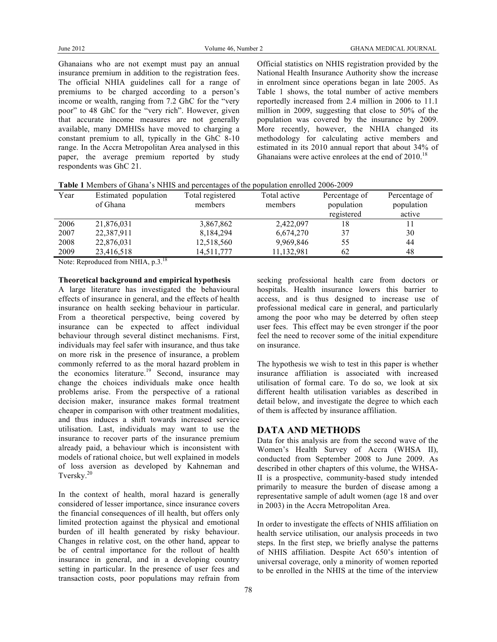Ghanaians who are not exempt must pay an annual insurance premium in addition to the registration fees. The official NHIA guidelines call for a range of premiums to be charged according to a person's income or wealth, ranging from 7.2 GhC for the "very poor" to 48 GhC for the "very rich". However, given that accurate income measures are not generally available, many DMHISs have moved to charging a constant premium to all, typically in the GhC 8-10 range. In the Accra Metropolitan Area analysed in this paper, the average premium reported by study respondents was GhC 21.

Official statistics on NHIS registration provided by the National Health Insurance Authority show the increase in enrolment since operations began in late 2005. As Table 1 shows, the total number of active members reportedly increased from 2.4 million in 2006 to 11.1 million in 2009, suggesting that close to 50% of the population was covered by the insurance by 2009. More recently, however, the NHIA changed its methodology for calculating active members and estimated in its 2010 annual report that about 34% of Ghanaians were active enrolees at the end of 2010.<sup>18</sup>

|  |  |  | Table 1 Members of Ghana's NHIS and percentages of the population enrolled 2006-2009 |
|--|--|--|--------------------------------------------------------------------------------------|
|  |  |  |                                                                                      |

| Year | population<br>Estimated<br>of Ghana | Total registered<br>members | Total active<br>members | Percentage of<br>population<br>registered | Percentage of<br>population<br>active |
|------|-------------------------------------|-----------------------------|-------------------------|-------------------------------------------|---------------------------------------|
| 2006 | 21,876,031                          | 3,867,862                   | 2,422,097               | 18                                        | 11                                    |
| 2007 | 22,387,911                          | 8,184,294                   | 6,674,270               | 37                                        | 30                                    |
| 2008 | 22,876,031                          | 12,518,560                  | 9,969,846               | 55                                        | 44                                    |
| 2009 | 23,416,518                          | 14,511,777                  | 11,132,981              | 62                                        | 48                                    |
|      |                                     |                             |                         |                                           |                                       |

Note: Reproduced from NHIA, p.3.<sup>18</sup>

**Theoretical background and empirical hypothesis**

A large literature has investigated the behavioural effects of insurance in general, and the effects of health insurance on health seeking behaviour in particular. From a theoretical perspective, being covered by insurance can be expected to affect individual behaviour through several distinct mechanisms. First, individuals may feel safer with insurance, and thus take on more risk in the presence of insurance, a problem commonly referred to as the moral hazard problem in the economics literature.<sup>19</sup> Second, insurance may change the choices individuals make once health problems arise. From the perspective of a rational decision maker, insurance makes formal treatment cheaper in comparison with other treatment modalities, and thus induces a shift towards increased service utilisation. Last, individuals may want to use the insurance to recover parts of the insurance premium already paid, a behaviour which is inconsistent with models of rational choice, but well explained in models of loss aversion as developed by Kahneman and Tversky. 20

In the context of health, moral hazard is generally considered of lesser importance, since insurance covers the financial consequences of ill health, but offers only limited protection against the physical and emotional burden of ill health generated by risky behaviour. Changes in relative cost, on the other hand, appear to be of central importance for the rollout of health insurance in general, and in a developing country setting in particular. In the presence of user fees and transaction costs, poor populations may refrain from

seeking professional health care from doctors or hospitals. Health insurance lowers this barrier to access, and is thus designed to increase use of professional medical care in general, and particularly among the poor who may be deterred by often steep user fees. This effect may be even stronger if the poor feel the need to recover some of the initial expenditure on insurance.

The hypothesis we wish to test in this paper is whether insurance affiliation is associated with increased utilisation of formal care. To do so, we look at six different health utilisation variables as described in detail below, and investigate the degree to which each of them is affected by insurance affiliation.

## **DATA AND METHODS**

Data for this analysis are from the second wave of the Women's Health Survey of Accra (WHSA II), conducted from September 2008 to June 2009. As described in other chapters of this volume, the WHSA-II is a prospective, community-based study intended primarily to measure the burden of disease among a representative sample of adult women (age 18 and over in 2003) in the Accra Metropolitan Area.

In order to investigate the effects of NHIS affiliation on health service utilisation, our analysis proceeds in two steps. In the first step, we briefly analyse the patterns of NHIS affiliation. Despite Act 650's intention of universal coverage, only a minority of women reported to be enrolled in the NHIS at the time of the interview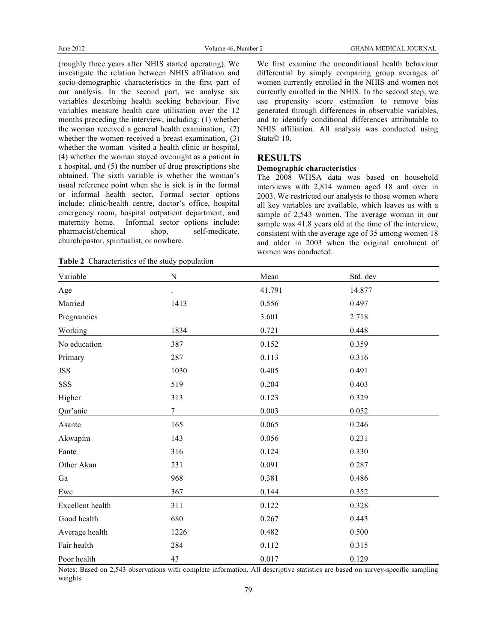(roughly three years after NHIS started operating). We investigate the relation between NHIS affiliation and socio-demographic characteristics in the first part of our analysis. In the second part, we analyse six variables describing health seeking behaviour. Five variables measure health care utilisation over the 12 months preceding the interview, including: (1) whether the woman received a general health examination, (2) whether the women received a breast examination, (3) whether the woman visited a health clinic or hospital, (4) whether the woman stayed overnight as a patient in a hospital, and (5) the number of drug prescriptions she obtained. The sixth variable is whether the woman's usual reference point when she is sick is in the formal or informal health sector. Formal sector options include: clinic/health centre, doctor's office, hospital emergency room, hospital outpatient department, and maternity home. Informal sector options include: pharmacist/chemical shop, self-medicate, church/pastor, spiritualist, or nowhere.

**Table 2** Characteristics of the study population

We first examine the unconditional health behaviour differential by simply comparing group averages of women currently enrolled in the NHIS and women not currently enrolled in the NHIS. In the second step, we use propensity score estimation to remove bias generated through differences in observable variables, and to identify conditional differences attributable to NHIS affiliation. All analysis was conducted using Stata© 10.

#### **RESULTS**

#### **Demographic characteristics**

The 2008 WHSA data was based on household interviews with 2,814 women aged 18 and over in 2003. We restricted our analysis to those women where all key variables are available, which leaves us with a sample of 2,543 women. The average woman in our sample was 41.8 years old at the time of the interview, consistent with the average age of 35 among women 18 and older in 2003 when the original enrolment of women was conducted.

| Variable         | ${\bf N}$            | Mean   | Std. dev |
|------------------|----------------------|--------|----------|
| Age              | $\ddot{\phantom{0}}$ | 41.791 | 14.877   |
| Married          | 1413                 | 0.556  | 0.497    |
| Pregnancies      |                      | 3.601  | 2.718    |
| Working          | 1834                 | 0.721  | 0.448    |
| No education     | 387                  | 0.152  | 0.359    |
| Primary          | 287                  | 0.113  | 0.316    |
| <b>JSS</b>       | 1030                 | 0.405  | 0.491    |
| SSS              | 519                  | 0.204  | 0.403    |
| Higher           | 313                  | 0.123  | 0.329    |
| Qur'anic         | $\boldsymbol{7}$     | 0.003  | 0.052    |
| Asante           | 165                  | 0.065  | 0.246    |
| Akwapim          | 143                  | 0.056  | 0.231    |
| Fante            | 316                  | 0.124  | 0.330    |
| Other Akan       | 231                  | 0.091  | 0.287    |
| Ga               | 968                  | 0.381  | 0.486    |
| Ewe              | 367                  | 0.144  | 0.352    |
| Excellent health | 311                  | 0.122  | 0.328    |
| Good health      | 680                  | 0.267  | 0.443    |
| Average health   | 1226                 | 0.482  | 0.500    |
| Fair health      | 284                  | 0.112  | 0.315    |
| Poor health      | 43                   | 0.017  | 0.129    |

Notes: Based on 2,543 observations with complete information. All descriptive statistics are based on survey-specific sampling weights.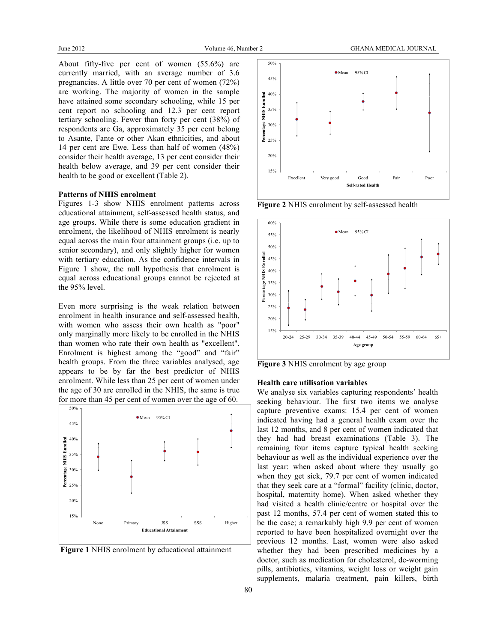About fifty-five per cent of women (55.6%) are currently married, with an average number of 3.6 pregnancies. A little over 70 per cent of women (72%) are working. The majority of women in the sample have attained some secondary schooling, while 15 per cent report no schooling and 12.3 per cent report tertiary schooling. Fewer than forty per cent (38%) of respondents are Ga, approximately 35 per cent belong to Asante, Fante or other Akan ethnicities, and about 14 per cent are Ewe. Less than half of women (48%) consider their health average, 13 per cent consider their health below average, and 39 per cent consider their health to be good or excellent (Table 2).

#### **Patterns of NHIS enrolment**

Figures 1-3 show NHIS enrolment patterns across educational attainment, self-assessed health status, and age groups. While there is some education gradient in enrolment, the likelihood of NHIS enrolment is nearly equal across the main four attainment groups (i.e. up to senior secondary), and only slightly higher for women with tertiary education. As the confidence intervals in Figure 1 show, the null hypothesis that enrolment is equal across educational groups cannot be rejected at the 95% level.

Even more surprising is the weak relation between enrolment in health insurance and self-assessed health, with women who assess their own health as "poor" only marginally more likely to be enrolled in the NHIS than women who rate their own health as "excellent". Enrolment is highest among the "good" and "fair" health groups. From the three variables analysed, age appears to be by far the best predictor of NHIS enrolment. While less than 25 per cent of women under the age of 30 are enrolled in the NHIS, the same is true for more than 45 per cent of women over the age of 60.







**Figure 2** NHIS enrolment by self-assessed health



**Figure 3** NHIS enrolment by age group

#### **Health care utilisation variables**

We analyse six variables capturing respondents' health seeking behaviour. The first two items we analyse capture preventive exams: 15.4 per cent of women indicated having had a general health exam over the last 12 months, and 8 per cent of women indicated that they had had breast examinations (Table 3). The remaining four items capture typical health seeking behaviour as well as the individual experience over the last year: when asked about where they usually go when they get sick, 79.7 per cent of women indicated that they seek care at a "formal" facility (clinic, doctor, hospital, maternity home). When asked whether they had visited a health clinic/centre or hospital over the past 12 months, 57.4 per cent of women stated this to be the case; a remarkably high 9.9 per cent of women reported to have been hospitalized overnight over the previous 12 months. Last, women were also asked whether they had been prescribed medicines by a doctor, such as medication for cholesterol, de-worming pills, antibiotics, vitamins, weight loss or weight gain supplements, malaria treatment, pain killers, birth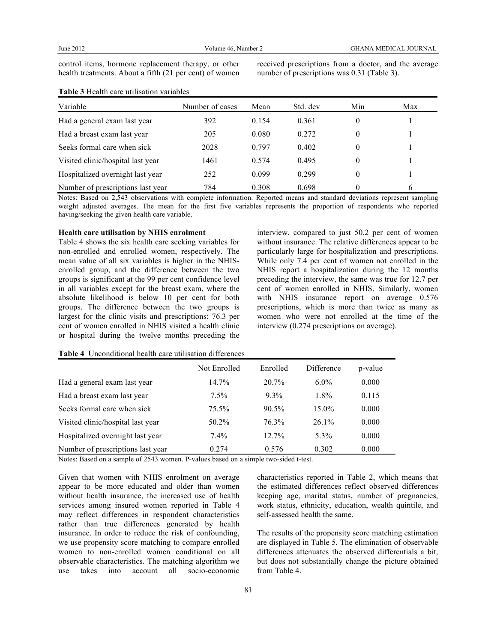control items, hormone replacement therapy, or other health treatments. About a fifth (21 per cent) of women

**Table 3** Health care utilisation variables

received prescriptions from a doctor, and the average number of prescriptions was 0.31 (Table 3).

| Variable                          | Number of cases | Mean  | Std. dev | Min      | Max |
|-----------------------------------|-----------------|-------|----------|----------|-----|
| Had a general exam last year      | 392             | 0.154 | 0.361    | 0        |     |
| Had a breast exam last year       | 205             | 0.080 | 0.272    | 0        |     |
| Seeks formal care when sick       | 2028            | 0.797 | 0.402    | 0        |     |
| Visited clinic/hospital last year | 1461            | 0.574 | 0.495    | $^{(1)}$ |     |
| Hospitalized overnight last year  | 252             | 0.099 | 0.299    | 0        |     |
| Number of prescriptions last year | 784             | 0.308 | 0.698    | 0        | 6   |

Notes: Based on 2,543 observations with complete information. Reported means and standard deviations represent sampling weight adjusted averages. The mean for the first five variables represents the proportion of respondents who reported having/seeking the given health care variable.

#### **Health care utilisation by NHIS enrolment**

Table 4 shows the six health care seeking variables for non-enrolled and enrolled women, respectively. The mean value of all six variables is higher in the NHISenrolled group, and the difference between the two groups is significant at the 99 per cent confidence level in all variables except for the breast exam, where the absolute likelihood is below 10 per cent for both groups. The difference between the two groups is largest for the clinic visits and prescriptions: 76.3 per cent of women enrolled in NHIS visited a health clinic or hospital during the twelve months preceding the

interview, compared to just 50.2 per cent of women without insurance. The relative differences appear to be particularly large for hospitalization and prescriptions. While only 7.4 per cent of women not enrolled in the NHIS report a hospitalization during the 12 months preceding the interview, the same was true for 12.7 per cent of women enrolled in NHIS. Similarly, women with NHIS insurance report on average  $0.576$ prescriptions, which is more than twice as many as women who were not enrolled at the time of the interview (0.274 prescriptions on average).

|                                   | Not Enrolled | Enrolled | Difference | p-value |
|-----------------------------------|--------------|----------|------------|---------|
| Had a general exam last year      | $14.7\%$     | $20.7\%$ | $6.0\%$    | 0.000   |
| Had a breast exam last year       | $7.5\%$      | $9.3\%$  | $1.8\%$    | 0.115   |
| Seeks formal care when sick       | 75.5%        | $90.5\%$ | $15.0\%$   | 0.000   |
| Visited clinic/hospital last year | $50.2\%$     | 76.3%    | $261\%$    | 0.000   |
| Hospitalized overnight last year  | $7.4\%$      | $12.7\%$ | $5.3\%$    | 0.000   |
| Number of prescriptions last year | 0.274        | 0.576    | 0.302      | 0.000   |

**Table 4** Unconditional health care utilisation differences

Notes: Based on a sample of 2543 women. P-values based on a simple two-sided t-test.

Given that women with NHIS enrolment on average appear to be more educated and older than women without health insurance, the increased use of health services among insured women reported in Table 4 may reflect differences in respondent characteristics rather than true differences generated by health insurance. In order to reduce the risk of confounding, we use propensity score matching to compare enrolled women to non-enrolled women conditional on all observable characteristics. The matching algorithm we use takes into account all socio-economic

characteristics reported in Table 2, which means that the estimated differences reflect observed differences keeping age, marital status, number of pregnancies, work status, ethnicity, education, wealth quintile, and self-assessed health the same.

The results of the propensity score matching estimation are displayed in Table 5. The elimination of observable differences attenuates the observed differentials a bit, but does not substantially change the picture obtained from Table 4.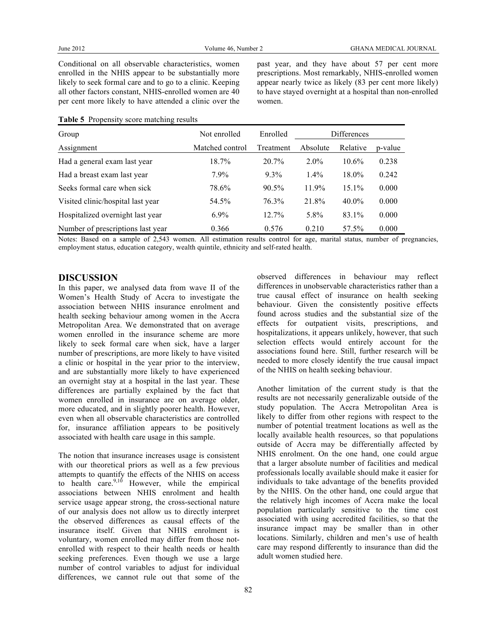Conditional on all observable characteristics, women enrolled in the NHIS appear to be substantially more likely to seek formal care and to go to a clinic. Keeping all other factors constant, NHIS-enrolled women are 40 per cent more likely to have attended a clinic over the

past year, and they have about 57 per cent more prescriptions. Most remarkably, NHIS-enrolled women appear nearly twice as likely (83 per cent more likely) to have stayed overnight at a hospital than non-enrolled women.

| Group                             | Not enrolled    | Enrolled  | <b>Differences</b> |          |         |
|-----------------------------------|-----------------|-----------|--------------------|----------|---------|
| Assignment                        | Matched control | Treatment | Absolute           | Relative | p-value |
| Had a general exam last year      | 18.7%           | 20.7%     | $2.0\%$            | $10.6\%$ | 0.238   |
| Had a breast exam last year       | 7.9%            | $9.3\%$   | $1.4\%$            | 18.0%    | 0.242   |
| Seeks formal care when sick       | 78.6%           | 90.5%     | $11.9\%$           | $15.1\%$ | 0.000   |
| Visited clinic/hospital last year | 54.5%           | 76.3%     | 21.8%              | $40.0\%$ | 0.000   |
| Hospitalized overnight last year  | $6.9\%$         | $12.7\%$  | 5.8%               | 83.1%    | 0.000   |
| Number of prescriptions last year | 0.366           | 0.576     | 0.210              | 57.5%    | 0.000   |

#### **Table 5** Propensity score matching results

Notes: Based on a sample of 2,543 women. All estimation results control for age, marital status, number of pregnancies, employment status, education category, wealth quintile, ethnicity and self-rated health.

#### **DISCUSSION**

In this paper, we analysed data from wave II of the Women's Health Study of Accra to investigate the association between NHIS insurance enrolment and health seeking behaviour among women in the Accra Metropolitan Area. We demonstrated that on average women enrolled in the insurance scheme are more likely to seek formal care when sick, have a larger number of prescriptions, are more likely to have visited a clinic or hospital in the year prior to the interview, and are substantially more likely to have experienced an overnight stay at a hospital in the last year. These differences are partially explained by the fact that women enrolled in insurance are on average older, more educated, and in slightly poorer health. However, even when all observable characteristics are controlled for, insurance affiliation appears to be positively associated with health care usage in this sample.

The notion that insurance increases usage is consistent with our theoretical priors as well as a few previous attempts to quantify the effects of the NHIS on access to health care. $9,10$  However, while the empirical associations between NHIS enrolment and health service usage appear strong, the cross-sectional nature of our analysis does not allow us to directly interpret the observed differences as causal effects of the insurance itself. Given that NHIS enrolment is voluntary, women enrolled may differ from those notenrolled with respect to their health needs or health seeking preferences. Even though we use a large number of control variables to adjust for individual differences, we cannot rule out that some of the

observed differences in behaviour may reflect differences in unobservable characteristics rather than a true causal effect of insurance on health seeking behaviour. Given the consistently positive effects found across studies and the substantial size of the effects for outpatient visits, prescriptions, and hospitalizations, it appears unlikely, however, that such selection effects would entirely account for the associations found here. Still, further research will be needed to more closely identify the true causal impact of the NHIS on health seeking behaviour.

Another limitation of the current study is that the results are not necessarily generalizable outside of the study population. The Accra Metropolitan Area is likely to differ from other regions with respect to the number of potential treatment locations as well as the locally available health resources, so that populations outside of Accra may be differentially affected by NHIS enrolment. On the one hand, one could argue that a larger absolute number of facilities and medical professionals locally available should make it easier for individuals to take advantage of the benefits provided by the NHIS. On the other hand, one could argue that the relatively high incomes of Accra make the local population particularly sensitive to the time cost associated with using accredited facilities, so that the insurance impact may be smaller than in other locations. Similarly, children and men's use of health care may respond differently to insurance than did the adult women studied here.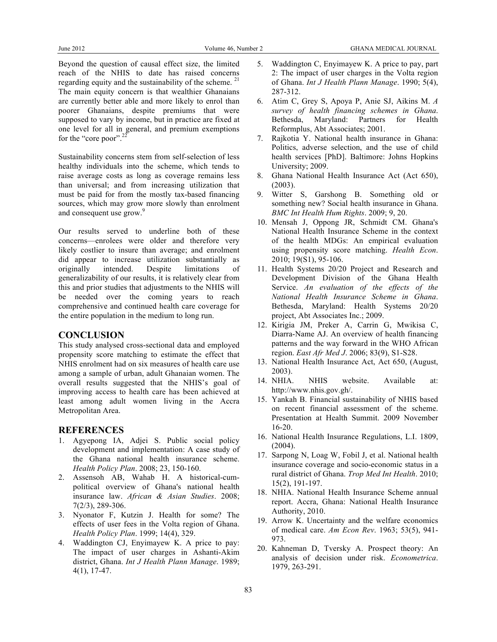Beyond the question of causal effect size, the limited reach of the NHIS to date has raised concerns regarding equity and the sustainability of the scheme.  $2<sup>1</sup>$ The main equity concern is that wealthier Ghanaians are currently better able and more likely to enrol than poorer Ghanaians, despite premiums that were supposed to vary by income, but in practice are fixed at one level for all in general, and premium exemptions for the "core poor".<sup>22</sup>

Sustainability concerns stem from self-selection of less healthy individuals into the scheme, which tends to raise average costs as long as coverage remains less than universal; and from increasing utilization that must be paid for from the mostly tax-based financing sources, which may grow more slowly than enrolment and consequent use grow.<sup>9</sup>

Our results served to underline both of these concerns—enrolees were older and therefore very likely costlier to insure than average; and enrolment did appear to increase utilization substantially as originally intended. Despite limitations of generalizability of our results, it is relatively clear from this and prior studies that adjustments to the NHIS will be needed over the coming years to reach comprehensive and continued health care coverage for the entire population in the medium to long run.

## **CONCLUSION**

This study analysed cross-sectional data and employed propensity score matching to estimate the effect that NHIS enrolment had on six measures of health care use among a sample of urban, adult Ghanaian women. The overall results suggested that the NHIS's goal of improving access to health care has been achieved at least among adult women living in the Accra Metropolitan Area.

### **REFERENCES**

- 1. Agyepong IA, Adjei S. Public social policy development and implementation: A case study of the Ghana national health insurance scheme. *Health Policy Plan*. 2008; 23, 150-160.
- 2. Assensoh AB, Wahab H. A historical-cumpolitical overview of Ghana's national health insurance law. *African & Asian Studies*. 2008; 7(2/3), 289-306.
- 3. Nyonator F, Kutzin J. Health for some? The effects of user fees in the Volta region of Ghana. *Health Policy Plan*. 1999; 14(4), 329.
- 4. Waddington CJ, Enyimayew K. A price to pay: The impact of user charges in Ashanti-Akim district, Ghana. *Int J Health Plann Manage*. 1989; 4(1), 17-47.
- 5. Waddington C, Enyimayew K. A price to pay, part 2: The impact of user charges in the Volta region of Ghana. *Int J Health Plann Manage*. 1990; 5(4), 287-312.
- 6. Atim C, Grey S, Apoya P, Anie SJ, Aikins M. *A survey of health financing schemes in Ghana*. Bethesda, Maryland: Partners for Health Reformplus, Abt Associates; 2001.
- 7. Rajkotia Y. National health insurance in Ghana: Politics, adverse selection, and the use of child health services [PhD]. Baltimore: Johns Hopkins University; 2009.
- 8. Ghana National Health Insurance Act (Act 650), (2003).
- 9. Witter S, Garshong B. Something old or something new? Social health insurance in Ghana. *BMC Int Health Hum Rights*. 2009; 9, 20.
- 10. Mensah J, Oppong JR, Schmidt CM. Ghana's National Health Insurance Scheme in the context of the health MDGs: An empirical evaluation using propensity score matching. *Health Econ*. 2010; 19(S1), 95-106.
- 11. Health Systems 20/20 Project and Research and Development Division of the Ghana Health Service. *An evaluation of the effects of the National Health Insurance Scheme in Ghana*. Bethesda, Maryland: Health Systems 20/20 project, Abt Associates Inc.; 2009.
- 12. Kirigia JM, Preker A, Carrin G, Mwikisa C, Diarra-Name AJ. An overview of health financing patterns and the way forward in the WHO African region. *East Afr Med J*. 2006; 83(9), S1-S28.
- 13. National Health Insurance Act, Act 650, (August, 2003).
- 14. NHIA. NHIS website. Available at: http://www.nhis.gov.gh/.
- 15. Yankah B. Financial sustainability of NHIS based on recent financial assessment of the scheme. Presentation at Health Summit. 2009 November 16-20.
- 16. National Health Insurance Regulations, L.I. 1809, (2004).
- 17. Sarpong N, Loag W, Fobil J, et al. National health insurance coverage and socio-economic status in a rural district of Ghana. *Trop Med Int Health*. 2010; 15(2), 191-197.
- 18. NHIA. National Health Insurance Scheme annual report. Accra, Ghana: National Health Insurance Authority, 2010.
- 19. Arrow K. Uncertainty and the welfare economics of medical care. *Am Econ Rev*. 1963; 53(5), 941- 973.
- 20. Kahneman D, Tversky A. Prospect theory: An analysis of decision under risk. *Econometrica*. 1979, 263-291.